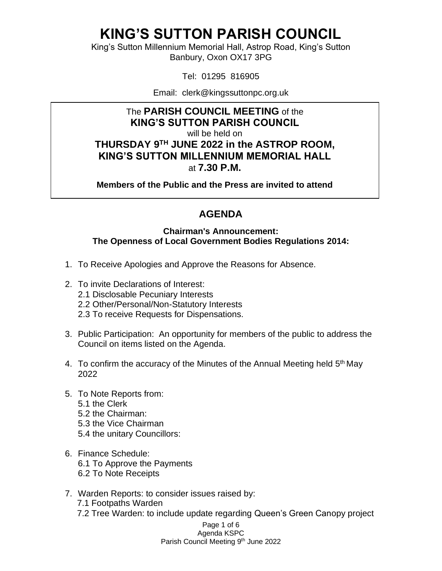King's Sutton Millennium Memorial Hall, Astrop Road, King's Sutton Banbury, Oxon OX17 3PG

Tel: 01295 816905

Email: clerk@kingssuttonpc.org.uk

### The **PARISH COUNCIL MEETING** of the **KING'S SUTTON PARISH COUNCIL**

will be held on

**THURSDAY 9 TH JUNE 2022 in the ASTROP ROOM, KING'S SUTTON MILLENNIUM MEMORIAL HALL** at **7.30 P.M.** 

**Members of the Public and the Press are invited to attend** 

### **AGENDA**

#### **Chairman's Announcement: The Openness of Local Government Bodies Regulations 2014:**

- 1. To Receive Apologies and Approve the Reasons for Absence.
- 2. To invite Declarations of Interest:
	- 2.1 Disclosable Pecuniary Interests
	- 2.2 Other/Personal/Non-Statutory Interests
	- 2.3 To receive Requests for Dispensations.
- 3. Public Participation: An opportunity for members of the public to address the Council on items listed on the Agenda.
- 4. To confirm the accuracy of the Minutes of the Annual Meeting held 5<sup>th</sup> May 2022
- 5. To Note Reports from: 5.1 the Clerk 5.2 the Chairman: 5.3 the Vice Chairman 5.4 the unitary Councillors:
- 6. Finance Schedule: 6.1 To Approve the Payments 6.2 To Note Receipts
- 7. Warden Reports: to consider issues raised by:
	- 7.1 Footpaths Warden
	- 7.2 Tree Warden: to include update regarding Queen's Green Canopy project

Page 1 of 6 Agenda KSPC Parish Council Meeting 9<sup>th</sup> June 2022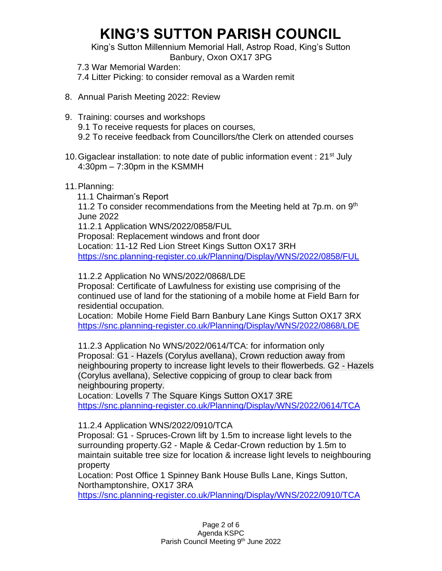King's Sutton Millennium Memorial Hall, Astrop Road, King's Sutton Banbury, Oxon OX17 3PG

 7.3 War Memorial Warden: 7.4 Litter Picking: to consider removal as a Warden remit

- 8. Annual Parish Meeting 2022: Review
- 9. Training: courses and workshops 9.1 To receive requests for places on courses, 9.2 To receive feedback from Councillors/the Clerk on attended courses
- 10. Gigaclear installation: to note date of public information event :  $21^{st}$  July 4:30pm – 7:30pm in the KSMMH
- 11.Planning:

 11.1 Chairman's Report 11.2 To consider recommendations from the Meeting held at  $7p.m.$  on  $9<sup>th</sup>$ June 2022 11.2.1 Application WNS/2022/0858/FUL Proposal: Replacement windows and front door Location: 11-12 Red Lion Street Kings Sutton OX17 3RH <https://snc.planning-register.co.uk/Planning/Display/WNS/2022/0858/FUL>

11.2.2 Application No WNS/2022/0868/LDE

Proposal: Certificate of Lawfulness for existing use comprising of the continued use of land for the stationing of a mobile home at Field Barn for residential occupation.

Location: Mobile Home Field Barn Banbury Lane Kings Sutton OX17 3RX <https://snc.planning-register.co.uk/Planning/Display/WNS/2022/0868/LDE>

11.2.3 Application No WNS/2022/0614/TCA: for information only Proposal: G1 - Hazels (Corylus avellana), Crown reduction away from neighbouring property to increase light levels to their flowerbeds. G2 - Hazels (Corylus avellana), Selective coppicing of group to clear back from neighbouring property.

Location: Lovells 7 The Square Kings Sutton OX17 3RE <https://snc.planning-register.co.uk/Planning/Display/WNS/2022/0614/TCA>

#### 11.2.4 Application WNS/2022/0910/TCA

Proposal: G1 - Spruces-Crown lift by 1.5m to increase light levels to the surrounding property.G2 - Maple & Cedar-Crown reduction by 1.5m to maintain suitable tree size for location & increase light levels to neighbouring property

Location: Post Office 1 Spinney Bank House Bulls Lane, Kings Sutton, Northamptonshire, OX17 3RA

<https://snc.planning-register.co.uk/Planning/Display/WNS/2022/0910/TCA>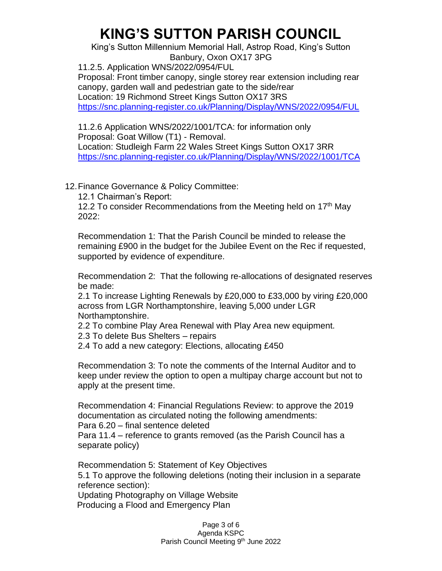King's Sutton Millennium Memorial Hall, Astrop Road, King's Sutton Banbury, Oxon OX17 3PG

11.2.5. Application WNS/2022/0954/FUL Proposal: Front timber canopy, single storey rear extension including rear canopy, garden wall and pedestrian gate to the side/rear Location: 19 Richmond Street Kings Sutton OX17 3RS <https://snc.planning-register.co.uk/Planning/Display/WNS/2022/0954/FUL>

11.2.6 Application WNS/2022/1001/TCA: for information only Proposal: Goat Willow (T1) - Removal. Location: Studleigh Farm 22 Wales Street Kings Sutton OX17 3RR <https://snc.planning-register.co.uk/Planning/Display/WNS/2022/1001/TCA>

12.Finance Governance & Policy Committee:

12.1 Chairman's Report:

12.2 To consider Recommendations from the Meeting held on  $17<sup>th</sup>$  May 2022:

Recommendation 1: That the Parish Council be minded to release the remaining £900 in the budget for the Jubilee Event on the Rec if requested, supported by evidence of expenditure.

Recommendation 2: That the following re-allocations of designated reserves be made:

2.1 To increase Lighting Renewals by £20,000 to £33,000 by viring £20,000 across from LGR Northamptonshire, leaving 5,000 under LGR Northamptonshire.

2.2 To combine Play Area Renewal with Play Area new equipment.

2.3 To delete Bus Shelters – repairs

2.4 To add a new category: Elections, allocating £450

Recommendation 3: To note the comments of the Internal Auditor and to keep under review the option to open a multipay charge account but not to apply at the present time.

Recommendation 4: Financial Regulations Review: to approve the 2019 documentation as circulated noting the following amendments: Para 6.20 – final sentence deleted

Para 11.4 – reference to grants removed (as the Parish Council has a separate policy)

Recommendation 5: Statement of Key Objectives 5.1 To approve the following deletions (noting their inclusion in a separate reference section):

Updating Photography on Village Website Producing a Flood and Emergency Plan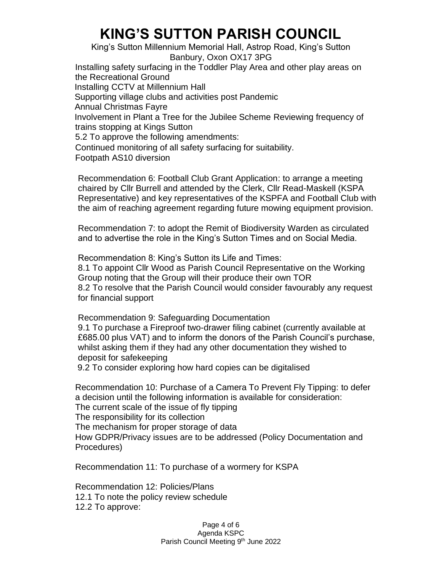King's Sutton Millennium Memorial Hall, Astrop Road, King's Sutton Banbury, Oxon OX17 3PG Installing safety surfacing in the Toddler Play Area and other play areas on the Recreational Ground Installing CCTV at Millennium Hall Supporting village clubs and activities post Pandemic Annual Christmas Fayre Involvement in Plant a Tree for the Jubilee Scheme Reviewing frequency of trains stopping at Kings Sutton 5.2 To approve the following amendments: Continued monitoring of all safety surfacing for suitability. Footpath AS10 diversion

Recommendation 6: Football Club Grant Application: to arrange a meeting chaired by Cllr Burrell and attended by the Clerk, Cllr Read-Maskell (KSPA Representative) and key representatives of the KSPFA and Football Club with the aim of reaching agreement regarding future mowing equipment provision.

Recommendation 7: to adopt the Remit of Biodiversity Warden as circulated and to advertise the role in the King's Sutton Times and on Social Media.

Recommendation 8: King's Sutton its Life and Times: 8.1 To appoint Cllr Wood as Parish Council Representative on the Working Group noting that the Group will their produce their own TOR 8.2 To resolve that the Parish Council would consider favourably any request for financial support

Recommendation 9: Safeguarding Documentation 9.1 To purchase a Fireproof two-drawer filing cabinet (currently available at £685.00 plus VAT) and to inform the donors of the Parish Council's purchase, whilst asking them if they had any other documentation they wished to deposit for safekeeping

9.2 To consider exploring how hard copies can be digitalised

Recommendation 10: Purchase of a Camera To Prevent Fly Tipping: to defer a decision until the following information is available for consideration: The current scale of the issue of fly tipping The responsibility for its collection The mechanism for proper storage of data How GDPR/Privacy issues are to be addressed (Policy Documentation and Procedures)

Recommendation 11: To purchase of a wormery for KSPA

Recommendation 12: Policies/Plans 12.1 To note the policy review schedule 12.2 To approve:

> Page 4 of 6 Agenda KSPC Parish Council Meeting 9<sup>th</sup> June 2022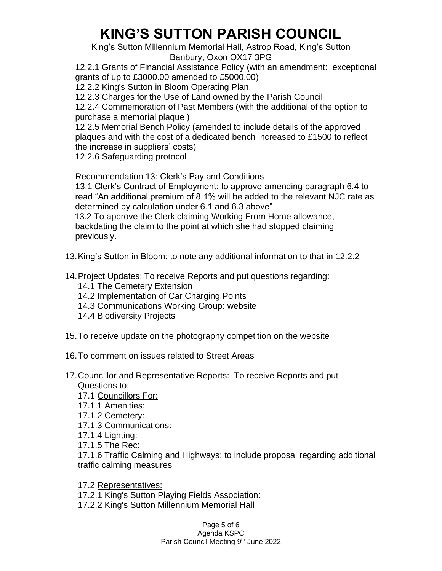King's Sutton Millennium Memorial Hall, Astrop Road, King's Sutton Banbury, Oxon OX17 3PG

12.2.1 Grants of Financial Assistance Policy (with an amendment: exceptional grants of up to £3000.00 amended to £5000.00)

12.2.2 King's Sutton in Bloom Operating Plan

12.2.3 Charges for the Use of Land owned by the Parish Council

12.2.4 Commemoration of Past Members (with the additional of the option to purchase a memorial plaque )

12.2.5 Memorial Bench Policy (amended to include details of the approved plaques and with the cost of a dedicated bench increased to £1500 to reflect the increase in suppliers' costs)

12.2.6 Safeguarding protocol

Recommendation 13: Clerk's Pay and Conditions

13.1 Clerk's Contract of Employment: to approve amending paragraph 6.4 to read "An additional premium of 8.1% will be added to the relevant NJC rate as determined by calculation under 6.1 and 6.3 above"

 13.2 To approve the Clerk claiming Working From Home allowance, backdating the claim to the point at which she had stopped claiming previously.

13.King's Sutton in Bloom: to note any additional information to that in 12.2.2

14.Project Updates: To receive Reports and put questions regarding:

- 14.1 The Cemetery Extension
- 14.2 Implementation of Car Charging Points
- 14.3 Communications Working Group: website
- 14.4 Biodiversity Projects
- 15.To receive update on the photography competition on the website
- 16.To comment on issues related to Street Areas
- 17.Councillor and Representative Reports: To receive Reports and put Questions to:
	- 17.1 Councillors For:
	- 17.1.1 Amenities:
	- 17.1.2 Cemetery:
	- 17.1.3 Communications:
	- 17.1.4 Lighting:
	- 17.1.5 The Rec:

17.1.6 Traffic Calming and Highways: to include proposal regarding additional traffic calming measures

17.2 Representatives:

- 17.2.1 King's Sutton Playing Fields Association:
- 17.2.2 King's Sutton Millennium Memorial Hall